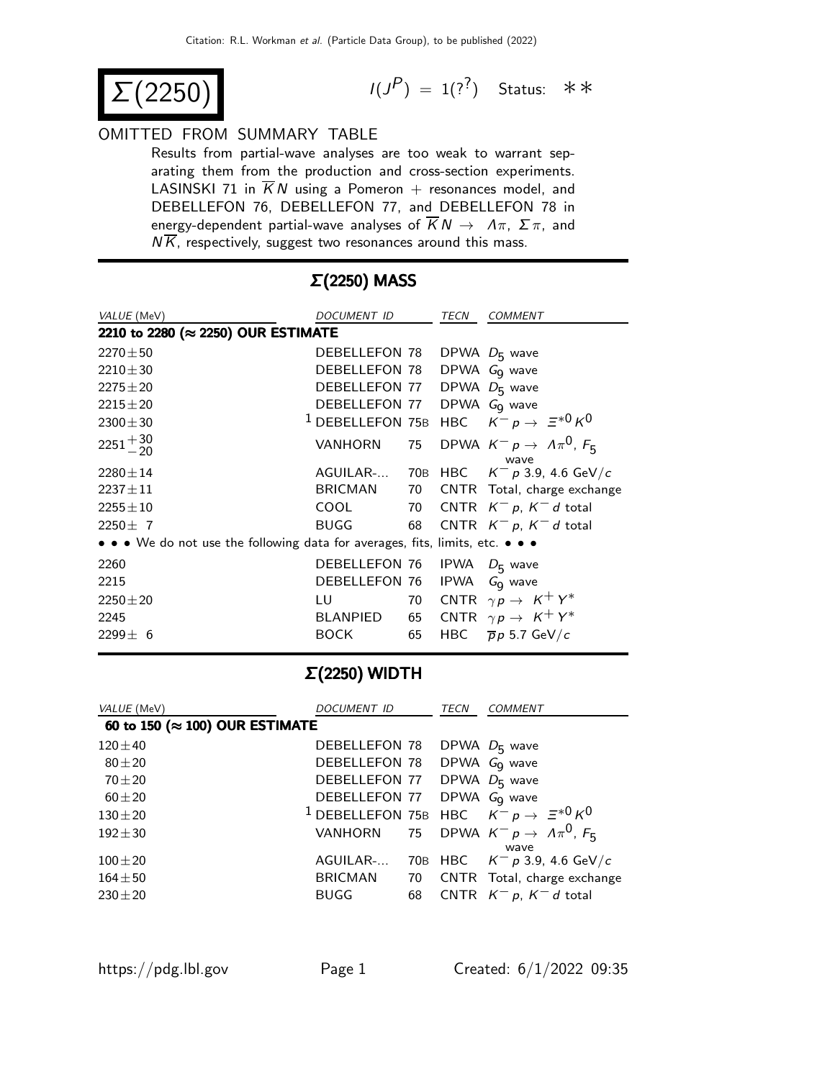$(2250)$ 

 $P$ ) = 1(?<sup>?</sup>) Status: ∗∗

#### OMITTED FROM SUMMARY TABLE

Results from partial-wave analyses are too weak to warrant separating them from the production and cross-section experiments. LASINSKI 71 in  $\overline{K}N$  using a Pomeron + resonances model, and DEBELLEFON 76, DEBELLEFON 77, and DEBELLEFON 78 in energy-dependent partial-wave analyses of  $\overline{K}N \rightarrow \Lambda \pi$ ,  $\Sigma \pi$ , and  $N\overline{K}$ , respectively, suggest two resonances around this mass.

| VALUE (MeV)                                                                   | DOCUMENT ID      |    | TECN        | <i>COMMENT</i>                                                   |  |  |
|-------------------------------------------------------------------------------|------------------|----|-------------|------------------------------------------------------------------|--|--|
| 2210 to 2280 (≈ 2250) OUR ESTIMATE                                            |                  |    |             |                                                                  |  |  |
| $2270 \pm 50$                                                                 | DEBELLEFON 78    |    |             | DPWA $D_5$ wave                                                  |  |  |
| $2210 \pm 30$                                                                 | DEBELLEFON 78    |    |             | DPWA $GQ$ wave                                                   |  |  |
| $2275 \pm 20$                                                                 | DEBELLEFON 77    |    |             | DPWA $D_5$ wave                                                  |  |  |
| $2215 \pm 20$                                                                 | DEBELLEFON 77    |    |             | DPWA $GQ$ wave                                                   |  |  |
| $2300 \pm 30$                                                                 |                  |    |             | <sup>1</sup> DEBELLEFON 75B HBC $K^- p \rightarrow \Xi^{*0} K^0$ |  |  |
| $2251 + \frac{30}{20}$                                                        | <b>VANHORN</b>   | 75 |             | DPWA $K^- p \rightarrow A \pi^0$ , $F_5$<br>wave                 |  |  |
| $2280 \pm 14$                                                                 | AGUILAR- 70B HBC |    |             | $\mathcal{K}^-\,$ p 3.9, 4.6 GeV/ $\mathcal{C}$                  |  |  |
| $2237 \pm 11$                                                                 | BRICMAN          | 70 |             | CNTR Total, charge exchange                                      |  |  |
| $2255 \pm 10$                                                                 | COOL             |    |             | 70 CNTR $K^- p$ , $K^- d$ total                                  |  |  |
| $2250 \pm 7$                                                                  | <b>BUGG</b>      | 68 |             | CNTR $K^- p$ , $K^- d$ total                                     |  |  |
| • • • We do not use the following data for averages, fits, limits, etc. • • • |                  |    |             |                                                                  |  |  |
| 2260                                                                          | DEBELLEFON 76    |    |             | IPWA $D_5$ wave                                                  |  |  |
| 2215                                                                          | DEBELLEFON 76    |    | <b>IPWA</b> | $GQ$ wave                                                        |  |  |
| $2250 \pm 20$                                                                 | LU               | 70 |             | CNTR $\gamma p \rightarrow K^+ Y^*$                              |  |  |
| 2245                                                                          | BLANPIED         | 65 |             | CNTR $\gamma p \rightarrow K^+ Y^*$                              |  |  |
| $2299 \pm 6$                                                                  | <b>BOCK</b>      | 65 | HBC         | $\overline{p}p$ 5.7 GeV/c                                        |  |  |

### Σ(2250) MASS

#### Σ(2250) WIDTH

| VALUE (MeV)                             | <i>DOCUMENT ID</i>                     |    | <b>TECN</b> | COMMENT                                                          |
|-----------------------------------------|----------------------------------------|----|-------------|------------------------------------------------------------------|
| 60 to 150 ( $\approx$ 100) OUR ESTIMATE |                                        |    |             |                                                                  |
| $120 \pm 40$                            | DEBELLEFON 78                          |    |             | DPWA $D_5$ wave                                                  |
| $80 + 20$                               | <b>DEBELLEFON 78</b>                   |    |             | DPWA $GQ$ wave                                                   |
| $70 + 20$                               | <b>DEBELLEFON 77</b>                   |    |             | DPWA $D5$ wave                                                   |
| $60 + 20$                               | DEBELLEFON 77 DPWA G <sub>9</sub> wave |    |             |                                                                  |
| $130 + 20$                              |                                        |    |             | <sup>1</sup> DEBELLEFON 75B HBC $K^- p \rightarrow \Xi^{*0} K^0$ |
| $192 + 30$                              |                                        |    |             | VANHORN 75 DPWA $K^- p \rightarrow \Lambda \pi^0$ , $F_5$        |
| $100 + 20$                              | AGUILAR-                               |    |             | wave<br>70B HBC $K^- p 3.9, 4.6 \text{ GeV}/c$                   |
| $164 + 50$                              | BRICMAN                                | 70 |             | CNTR Total, charge exchange                                      |
| $230 + 20$                              | <b>BUGG</b>                            | 68 |             | CNTR $K^- p$ , $K^- d$ total                                     |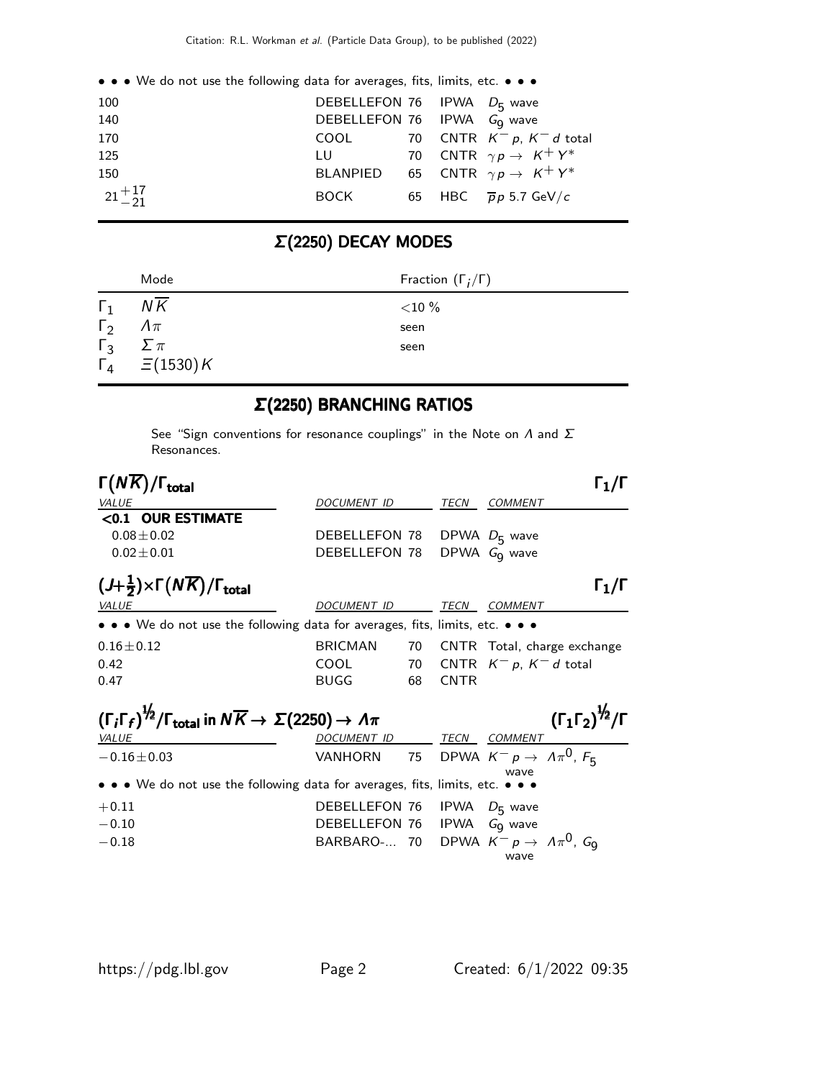|           | • • • We do not use the following data for averages, fits, limits, etc. • • • |                                        |  |                                                 |
|-----------|-------------------------------------------------------------------------------|----------------------------------------|--|-------------------------------------------------|
| 100       |                                                                               | DEBELLEFON 76 IPWA D <sub>5</sub> wave |  |                                                 |
| 140       |                                                                               | DEBELLEFON 76 IPWA Go wave             |  |                                                 |
| 170       |                                                                               |                                        |  | COOL 70 CNTR $K^- p$ , $K^- d$ total            |
| 125       |                                                                               |                                        |  | LU 70 CNTR $\gamma p \to K^+ Y^*$               |
| 150       |                                                                               |                                        |  | BLANPIED 65 CNTR $\gamma p \rightarrow K^+ Y^*$ |
| $21 + 17$ |                                                                               | BOCK                                   |  | 65 HBC $\overline{p}p$ 5.7 GeV/c                |

# Σ(2250) DECAY MODES

|            | Mode                         | Fraction $(\Gamma_i/\Gamma)$ |
|------------|------------------------------|------------------------------|
| $\Gamma_1$ | NK                           | ${<}10\%$                    |
| $\Gamma_2$ | $\varLambda\pi$              | seen                         |
| $\Gamma_3$ | $\sum \pi$                   | seen                         |
|            | $\Gamma_4$ $\equiv$ (1530) K |                              |

### Σ(2250) BRANCHING RATIOS

See "Sign conventions for resonance couplings" in the Note on  $\Lambda$  and  $\Sigma$ Resonances.

| $\Gamma(N\overline{K})/\Gamma_{\rm total}$                                                                                        |                                        |    |             |                                                        |
|-----------------------------------------------------------------------------------------------------------------------------------|----------------------------------------|----|-------------|--------------------------------------------------------|
| VALUE                                                                                                                             | DOCUMENT ID                            |    | TECN        | COMMENT                                                |
| <0.1 OUR ESTIMATE                                                                                                                 |                                        |    |             |                                                        |
| $0.08 \pm 0.02$                                                                                                                   | DEBELLEFON 78                          |    |             | DPWA $D_5$ wave                                        |
| $0.02 \pm 0.01$                                                                                                                   | DEBELLEFON 78                          |    |             | DPWA G <sub>q</sub> wave                               |
| $(J+\frac{1}{2})\times \Gamma(N\overline{K})/\Gamma_{\text{total}}$                                                               |                                        |    |             | $\Gamma_1/\Gamma$                                      |
| <i>VALUE</i>                                                                                                                      | <b>DOCUMENT ID</b>                     |    | TECN        | COMMENT                                                |
| • • • We do not use the following data for averages, fits, limits, etc. • • •                                                     |                                        |    |             |                                                        |
| $0.16 \pm 0.12$                                                                                                                   | <b>BRICMAN</b>                         | 70 |             | CNTR Total, charge exchange                            |
| 0.42                                                                                                                              | COOL                                   | 70 |             | CNTR $K^- p$ , $K^- d$ total                           |
| 0.47                                                                                                                              | <b>BUGG</b>                            | 68 | <b>CNTR</b> |                                                        |
| $(\Gamma_i \Gamma_f)^{\frac{1}{2}} / \Gamma_{\text{total}}$ in $N \overline{K} \rightarrow \Sigma (2250) \rightarrow \Lambda \pi$ |                                        |    |             | $(\Gamma_1 \Gamma_2)^{\frac{1}{2}} / \Gamma$           |
| <i>VALUE</i>                                                                                                                      | DOCUMENT ID                            |    | TECN        | <i>COMMENT</i>                                         |
| $-0.16 \pm 0.03$                                                                                                                  | VANHORN                                |    |             | 75 DPWA $K^- p \rightarrow A \pi^0$ , $F_R$<br>wave    |
| • • • We do not use the following data for averages, fits, limits, etc. • • •                                                     |                                        |    |             |                                                        |
| $+0.11$                                                                                                                           | DEBELLEFON 76 IPWA D <sub>5</sub> wave |    |             |                                                        |
| $-0.10$                                                                                                                           | DEBELLEFON 76                          |    |             | IPWA $GQ$ wave                                         |
| $-0.18$                                                                                                                           | BARBARO- 70                            |    |             | DPWA $K^- p \rightarrow \Lambda \pi^0$ , $G_0$<br>wave |